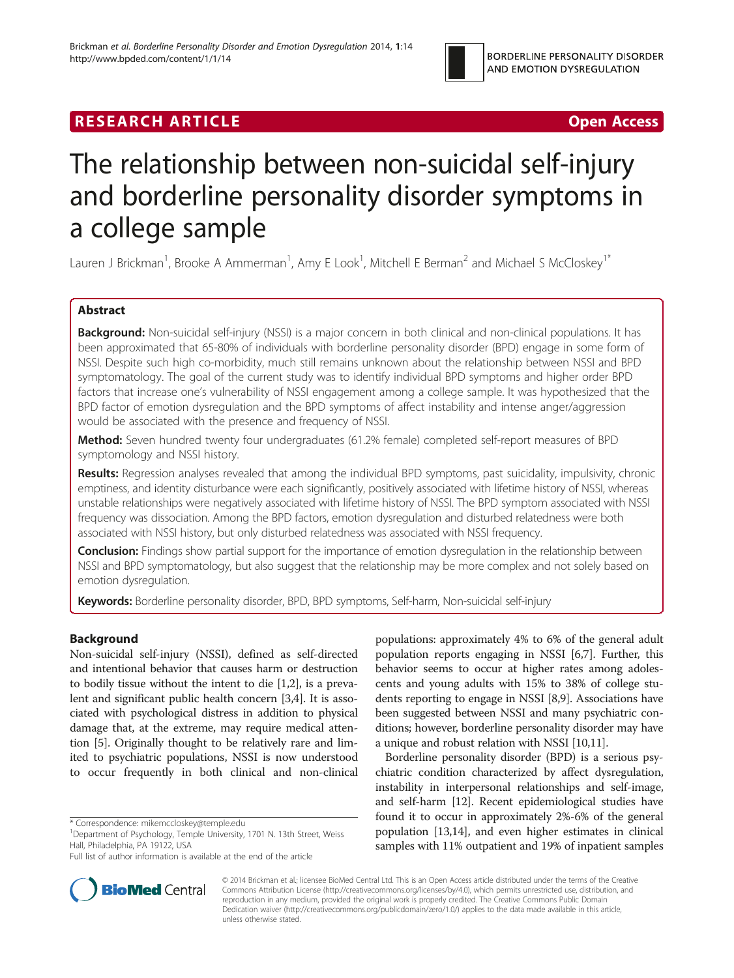# **RESEARCH ARTICLE EXECUTE: CONSIDERING A RESEARCH ARTICLE**

# The relationship between non-suicidal self-injury and borderline personality disorder symptoms in a college sample

Lauren J Brickman<sup>1</sup>, Brooke A Ammerman<sup>1</sup>, Amy E Look<sup>1</sup>, Mitchell E Berman<sup>2</sup> and Michael S McCloskey<sup>1\*</sup>

# Abstract

Background: Non-suicidal self-injury (NSSI) is a major concern in both clinical and non-clinical populations. It has been approximated that 65-80% of individuals with borderline personality disorder (BPD) engage in some form of NSSI. Despite such high co-morbidity, much still remains unknown about the relationship between NSSI and BPD symptomatology. The goal of the current study was to identify individual BPD symptoms and higher order BPD factors that increase one's vulnerability of NSSI engagement among a college sample. It was hypothesized that the BPD factor of emotion dysregulation and the BPD symptoms of affect instability and intense anger/aggression would be associated with the presence and frequency of NSSI.

Method: Seven hundred twenty four undergraduates (61.2% female) completed self-report measures of BPD symptomology and NSSI history.

Results: Regression analyses revealed that among the individual BPD symptoms, past suicidality, impulsivity, chronic emptiness, and identity disturbance were each significantly, positively associated with lifetime history of NSSI, whereas unstable relationships were negatively associated with lifetime history of NSSI. The BPD symptom associated with NSSI frequency was dissociation. Among the BPD factors, emotion dysregulation and disturbed relatedness were both associated with NSSI history, but only disturbed relatedness was associated with NSSI frequency.

**Conclusion:** Findings show partial support for the importance of emotion dysregulation in the relationship between NSSI and BPD symptomatology, but also suggest that the relationship may be more complex and not solely based on emotion dysregulation.

Keywords: Borderline personality disorder, BPD, BPD symptoms, Self-harm, Non-suicidal self-injury

# Background

Non-suicidal self-injury (NSSI), defined as self-directed and intentional behavior that causes harm or destruction to bodily tissue without the intent to die [\[1,2\]](#page-6-0), is a prevalent and significant public health concern [\[3,4](#page-6-0)]. It is associated with psychological distress in addition to physical damage that, at the extreme, may require medical attention [\[5](#page-6-0)]. Originally thought to be relatively rare and limited to psychiatric populations, NSSI is now understood to occur frequently in both clinical and non-clinical



Borderline personality disorder (BPD) is a serious psychiatric condition characterized by affect dysregulation, instability in interpersonal relationships and self-image, and self-harm [[12](#page-6-0)]. Recent epidemiological studies have found it to occur in approximately 2%-6% of the general population [\[13,14](#page-6-0)], and even higher estimates in clinical samples with 11% outpatient and 19% of inpatient samples



© 2014 Brickman et al.; licensee BioMed Central Ltd. This is an Open Access article distributed under the terms of the Creative Commons Attribution License [\(http://creativecommons.org/licenses/by/4.0\)](http://creativecommons.org/licenses/by/4.0), which permits unrestricted use, distribution, and reproduction in any medium, provided the original work is properly credited. The Creative Commons Public Domain Dedication waiver [\(http://creativecommons.org/publicdomain/zero/1.0/](http://creativecommons.org/publicdomain/zero/1.0/)) applies to the data made available in this article, unless otherwise stated.

<sup>\*</sup> Correspondence: [mikemccloskey@temple.edu](mailto:mikemccloskey@temple.edu) <sup>1</sup>

<sup>&</sup>lt;sup>1</sup>Department of Psychology, Temple University, 1701 N. 13th Street, Weiss Hall, Philadelphia, PA 19122, USA

Full list of author information is available at the end of the article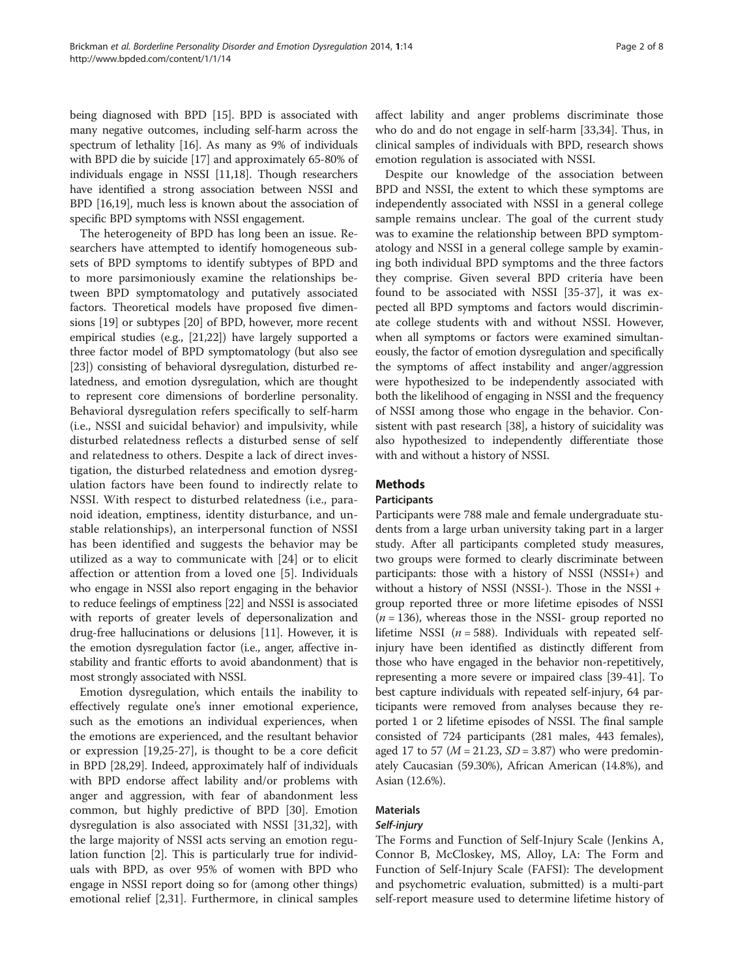being diagnosed with BPD [\[15\]](#page-6-0). BPD is associated with many negative outcomes, including self-harm across the spectrum of lethality [[16](#page-6-0)]. As many as 9% of individuals with BPD die by suicide [[17\]](#page-6-0) and approximately 65-80% of individuals engage in NSSI [[11](#page-6-0),[18](#page-6-0)]. Though researchers have identified a strong association between NSSI and BPD [\[16,19\]](#page-6-0), much less is known about the association of specific BPD symptoms with NSSI engagement.

The heterogeneity of BPD has long been an issue. Researchers have attempted to identify homogeneous subsets of BPD symptoms to identify subtypes of BPD and to more parsimoniously examine the relationships between BPD symptomatology and putatively associated factors. Theoretical models have proposed five dimensions [\[19](#page-6-0)] or subtypes [\[20\]](#page-6-0) of BPD, however, more recent empirical studies (e.g., [\[21,22\]](#page-6-0)) have largely supported a three factor model of BPD symptomatology (but also see [[23](#page-6-0)]) consisting of behavioral dysregulation, disturbed relatedness, and emotion dysregulation, which are thought to represent core dimensions of borderline personality. Behavioral dysregulation refers specifically to self-harm (i.e., NSSI and suicidal behavior) and impulsivity, while disturbed relatedness reflects a disturbed sense of self and relatedness to others. Despite a lack of direct investigation, the disturbed relatedness and emotion dysregulation factors have been found to indirectly relate to NSSI. With respect to disturbed relatedness (i.e., paranoid ideation, emptiness, identity disturbance, and unstable relationships), an interpersonal function of NSSI has been identified and suggests the behavior may be utilized as a way to communicate with [[24\]](#page-6-0) or to elicit affection or attention from a loved one [[5\]](#page-6-0). Individuals who engage in NSSI also report engaging in the behavior to reduce feelings of emptiness [[22](#page-6-0)] and NSSI is associated with reports of greater levels of depersonalization and drug-free hallucinations or delusions [[11](#page-6-0)]. However, it is the emotion dysregulation factor (i.e., anger, affective instability and frantic efforts to avoid abandonment) that is most strongly associated with NSSI.

Emotion dysregulation, which entails the inability to effectively regulate one's inner emotional experience, such as the emotions an individual experiences, when the emotions are experienced, and the resultant behavior or expression [[19](#page-6-0),[25](#page-6-0)-[27\]](#page-6-0), is thought to be a core deficit in BPD [[28](#page-6-0),[29](#page-6-0)]. Indeed, approximately half of individuals with BPD endorse affect lability and/or problems with anger and aggression, with fear of abandonment less common, but highly predictive of BPD [\[30\]](#page-6-0). Emotion dysregulation is also associated with NSSI [\[31,32](#page-6-0)], with the large majority of NSSI acts serving an emotion regulation function [\[2](#page-6-0)]. This is particularly true for individuals with BPD, as over 95% of women with BPD who engage in NSSI report doing so for (among other things) emotional relief [\[2,31](#page-6-0)]. Furthermore, in clinical samples affect lability and anger problems discriminate those who do and do not engage in self-harm [\[33,34\]](#page-6-0). Thus, in clinical samples of individuals with BPD, research shows emotion regulation is associated with NSSI.

Despite our knowledge of the association between BPD and NSSI, the extent to which these symptoms are independently associated with NSSI in a general college sample remains unclear. The goal of the current study was to examine the relationship between BPD symptomatology and NSSI in a general college sample by examining both individual BPD symptoms and the three factors they comprise. Given several BPD criteria have been found to be associated with NSSI [[35-37](#page-6-0)], it was expected all BPD symptoms and factors would discriminate college students with and without NSSI. However, when all symptoms or factors were examined simultaneously, the factor of emotion dysregulation and specifically the symptoms of affect instability and anger/aggression were hypothesized to be independently associated with both the likelihood of engaging in NSSI and the frequency of NSSI among those who engage in the behavior. Consistent with past research [\[38](#page-6-0)], a history of suicidality was also hypothesized to independently differentiate those with and without a history of NSSI.

# Methods

#### Participants

Participants were 788 male and female undergraduate students from a large urban university taking part in a larger study. After all participants completed study measures, two groups were formed to clearly discriminate between participants: those with a history of NSSI (NSSI+) and without a history of NSSI (NSSI-). Those in the NSSI + group reported three or more lifetime episodes of NSSI  $(n = 136)$ , whereas those in the NSSI- group reported no lifetime NSSI ( $n = 588$ ). Individuals with repeated selfinjury have been identified as distinctly different from those who have engaged in the behavior non-repetitively, representing a more severe or impaired class [\[39](#page-6-0)-[41](#page-6-0)]. To best capture individuals with repeated self-injury, 64 participants were removed from analyses because they reported 1 or 2 lifetime episodes of NSSI. The final sample consisted of 724 participants (281 males, 443 females), aged 17 to 57 ( $M = 21.23$ ,  $SD = 3.87$ ) who were predominately Caucasian (59.30%), African American (14.8%), and Asian (12.6%).

# Materials

# Self-injury

The Forms and Function of Self-Injury Scale (Jenkins A, Connor B, McCloskey, MS, Alloy, LA: The Form and Function of Self-Injury Scale (FAFSI): The development and psychometric evaluation, submitted) is a multi-part self-report measure used to determine lifetime history of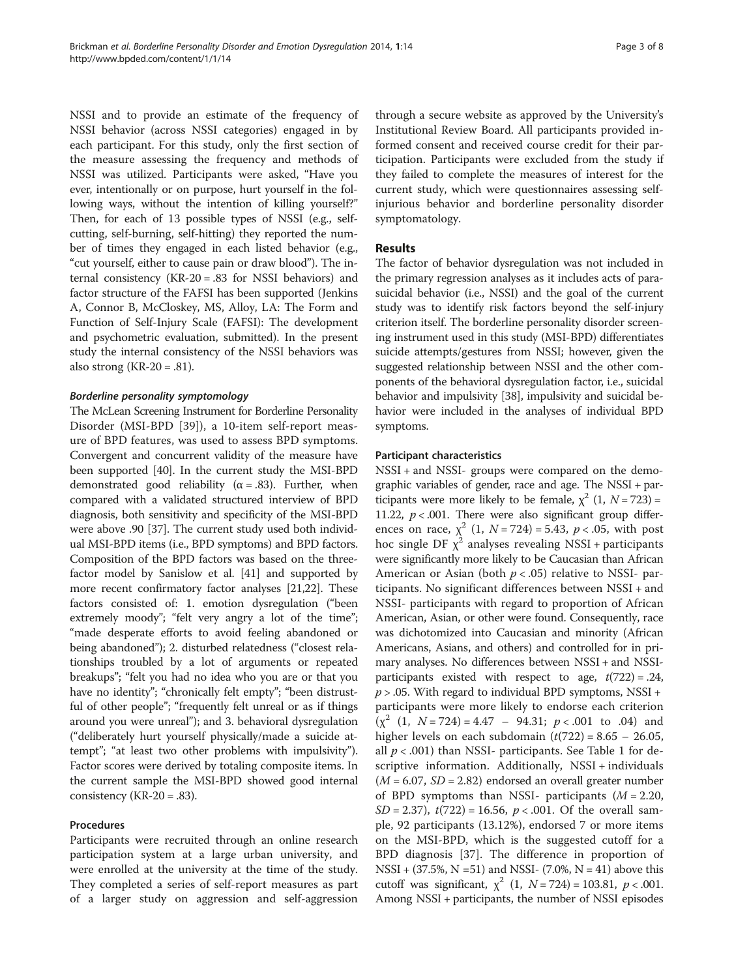NSSI and to provide an estimate of the frequency of NSSI behavior (across NSSI categories) engaged in by each participant. For this study, only the first section of the measure assessing the frequency and methods of NSSI was utilized. Participants were asked, "Have you ever, intentionally or on purpose, hurt yourself in the following ways, without the intention of killing yourself?" Then, for each of 13 possible types of NSSI (e.g., selfcutting, self-burning, self-hitting) they reported the number of times they engaged in each listed behavior (e.g., "cut yourself, either to cause pain or draw blood"). The internal consistency (KR-20 = .83 for NSSI behaviors) and factor structure of the FAFSI has been supported (Jenkins A, Connor B, McCloskey, MS, Alloy, LA: The Form and Function of Self-Injury Scale (FAFSI): The development and psychometric evaluation, submitted). In the present study the internal consistency of the NSSI behaviors was also strong (KR-20 = .81).

#### Borderline personality symptomology

The McLean Screening Instrument for Borderline Personality Disorder (MSI-BPD [[39\]](#page-6-0)), a 10-item self-report measure of BPD features, was used to assess BPD symptoms. Convergent and concurrent validity of the measure have been supported [\[40\]](#page-6-0). In the current study the MSI-BPD demonstrated good reliability ( $\alpha$  = .83). Further, when compared with a validated structured interview of BPD diagnosis, both sensitivity and specificity of the MSI-BPD were above .90 [[37](#page-6-0)]. The current study used both individual MSI-BPD items (i.e., BPD symptoms) and BPD factors. Composition of the BPD factors was based on the threefactor model by Sanislow et al. [\[41](#page-6-0)] and supported by more recent confirmatory factor analyses [[21,22\]](#page-6-0). These factors consisted of: 1. emotion dysregulation ("been extremely moody"; "felt very angry a lot of the time"; "made desperate efforts to avoid feeling abandoned or being abandoned"); 2. disturbed relatedness ("closest relationships troubled by a lot of arguments or repeated breakups"; "felt you had no idea who you are or that you have no identity"; "chronically felt empty"; "been distrustful of other people"; "frequently felt unreal or as if things around you were unreal"); and 3. behavioral dysregulation ("deliberately hurt yourself physically/made a suicide attempt"; "at least two other problems with impulsivity"). Factor scores were derived by totaling composite items. In the current sample the MSI-BPD showed good internal consistency ( $KR-20 = .83$ ).

# Procedures

Participants were recruited through an online research participation system at a large urban university, and were enrolled at the university at the time of the study. They completed a series of self-report measures as part of a larger study on aggression and self-aggression

through a secure website as approved by the University's Institutional Review Board. All participants provided informed consent and received course credit for their participation. Participants were excluded from the study if they failed to complete the measures of interest for the current study, which were questionnaires assessing selfinjurious behavior and borderline personality disorder symptomatology.

# Results

The factor of behavior dysregulation was not included in the primary regression analyses as it includes acts of parasuicidal behavior (i.e., NSSI) and the goal of the current study was to identify risk factors beyond the self-injury criterion itself. The borderline personality disorder screening instrument used in this study (MSI-BPD) differentiates suicide attempts/gestures from NSSI; however, given the suggested relationship between NSSI and the other components of the behavioral dysregulation factor, i.e., suicidal behavior and impulsivity [[38\]](#page-6-0), impulsivity and suicidal behavior were included in the analyses of individual BPD symptoms.

### Participant characteristics

NSSI + and NSSI- groups were compared on the demographic variables of gender, race and age. The NSSI + participants were more likely to be female,  $\chi^2$  (1,  $N = 723$ ) = 11.22,  $p < .001$ . There were also significant group differences on race,  $\chi^2$  (1,  $N = 724$ ) = 5.43,  $p < .05$ , with post hoc single DF  $\chi^2$  analyses revealing NSSI + participants were significantly more likely to be Caucasian than African American or Asian (both  $p < .05$ ) relative to NSSI- participants. No significant differences between NSSI + and NSSI- participants with regard to proportion of African American, Asian, or other were found. Consequently, race was dichotomized into Caucasian and minority (African Americans, Asians, and others) and controlled for in primary analyses. No differences between NSSI + and NSSIparticipants existed with respect to age,  $t(722) = .24$ ,  $p > .05$ . With regard to individual BPD symptoms, NSSI + participants were more likely to endorse each criterion  $(\chi^2$  (1,  $N = 724) = 4.47 - 94.31$ ;  $p < .001$  to .04) and higher levels on each subdomain  $(t(722) = 8.65 - 26.05,$ all  $p < .001$ ) than NSSI- participants. See Table [1](#page-3-0) for descriptive information. Additionally, NSSI + individuals  $(M = 6.07, SD = 2.82)$  endorsed an overall greater number of BPD symptoms than NSSI- participants  $(M = 2.20,$  $SD = 2.37$ ,  $t(722) = 16.56$ ,  $p < .001$ . Of the overall sample, 92 participants (13.12%), endorsed 7 or more items on the MSI-BPD, which is the suggested cutoff for a BPD diagnosis [\[37](#page-6-0)]. The difference in proportion of  $NSSI + (37.5\%, N = 51)$  and NSSI- (7.0%, N = 41) above this cutoff was significant,  $\chi^2$  (1,  $N = 724$ ) = 103.81,  $p < .001$ . Among NSSI + participants, the number of NSSI episodes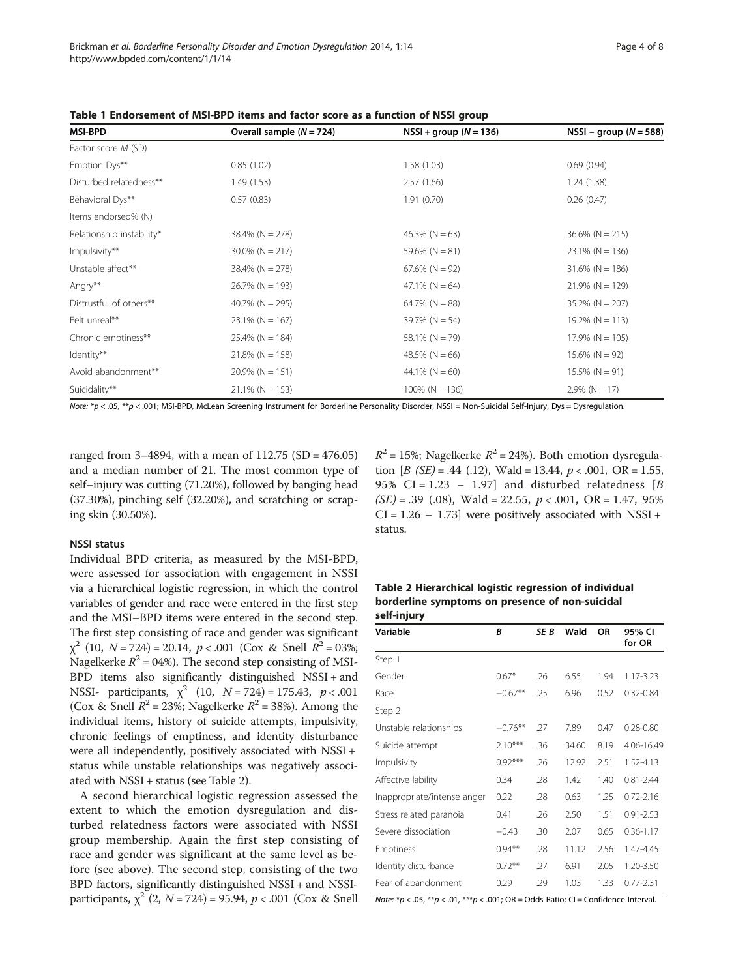| MSI-BPD                   | Overall sample $(N = 724)$ | $NSSI + group (N = 136)$ | NSSI – group ( $N = 588$ ) |
|---------------------------|----------------------------|--------------------------|----------------------------|
| Factor score M (SD)       |                            |                          |                            |
| Emotion Dys**             | 0.85(1.02)                 | 1.58(1.03)               | 0.69(0.94)                 |
| Disturbed relatedness**   | 1.49(1.53)                 | 2.57(1.66)               | 1.24(1.38)                 |
| Behavioral Dys**          | 0.57(0.83)                 | 1.91(0.70)               | 0.26(0.47)                 |
| Items endorsed% (N)       |                            |                          |                            |
| Relationship instability* | $38.4\%$ (N = 278)         | 46.3% ( $N = 63$ )       | $36.6\%$ (N = 215)         |
| Impulsivity**             | $30.0\%$ (N = 217)         | 59.6% ( $N = 81$ )       | $23.1\%$ (N = 136)         |
| Unstable affect**         | $38.4\%$ (N = 278)         | $67.6\%$ (N = 92)        | $31.6\%$ (N = 186)         |
| Angry**                   | $26.7\%$ (N = 193)         | 47.1% ( $N = 64$ )       | $21.9\%$ (N = 129)         |
| Distrustful of others**   | 40.7% ( $N = 295$ )        | $64.7\%$ (N = 88)        | $35.2\%$ (N = 207)         |
| Felt unreal**             | $23.1\%$ (N = 167)         | $39.7\%$ (N = 54)        | $19.2\%$ (N = 113)         |
| Chronic emptiness**       | $25.4\%$ (N = 184)         | $58.1\%$ (N = 79)        | $17.9\%$ (N = 105)         |
| Identity**                | $21.8\%$ (N = 158)         | 48.5% ( $N = 66$ )       | $15.6\%$ (N = 92)          |
| Avoid abandonment**       | $20.9\%$ (N = 151)         | 44.1% ( $N = 60$ )       | $15.5\%$ (N = 91)          |
| Suicidality**             | $21.1\% (N = 153)$         | $100\%$ (N = 136)        | $2.9\%$ (N = 17)           |

<span id="page-3-0"></span>Table 1 Endorsement of MSI-BPD items and factor score as a function of NSSI group

Note: \*p < .05, \*\*p < .001; MSI-BPD, McLean Screening Instrument for Borderline Personality Disorder, NSSI = Non-Suicidal Self-Injury, Dys = Dysregulation.

ranged from 3-4894, with a mean of  $112.75$  (SD = 476.05) and a median number of 21. The most common type of self–injury was cutting (71.20%), followed by banging head (37.30%), pinching self (32.20%), and scratching or scraping skin (30.50%).

#### NSSI status

Individual BPD criteria, as measured by the MSI-BPD, were assessed for association with engagement in NSSI via a hierarchical logistic regression, in which the control variables of gender and race were entered in the first step and the MSI–BPD items were entered in the second step. The first step consisting of race and gender was significant  $\chi^2$  (10, N = 724) = 20.14, p < .001 (Cox & Snell  $R^2$  = 03%; Nagelkerke  $R^2 = 04\%$ ). The second step consisting of MSI-BPD items also significantly distinguished NSSI + and NSSI- participants,  $\chi^2$  (10,  $N = 724$ ) = 175.43,  $p < .001$ (Cox & Snell  $R^2 = 23\%$ ; Nagelkerke  $R^2 = 38\%$ ). Among the individual items, history of suicide attempts, impulsivity, chronic feelings of emptiness, and identity disturbance were all independently, positively associated with NSSI + status while unstable relationships was negatively associated with NSSI + status (see Table 2).

A second hierarchical logistic regression assessed the extent to which the emotion dysregulation and disturbed relatedness factors were associated with NSSI group membership. Again the first step consisting of race and gender was significant at the same level as before (see above). The second step, consisting of the two BPD factors, significantly distinguished NSSI + and NSSIparticipants,  $\chi^2$  (2,  $N = 724$ ) = 95.94,  $p < .001$  (Cox & Snell  $R^2 = 15\%$ ; Nagelkerke  $R^2 = 24\%$ ). Both emotion dysregulation  $[B (SE) = .44 (.12),$  Wald = 13.44,  $p < .001$ , OR = 1.55, 95% CI =  $1.23 - 1.97$ ] and disturbed relatedness [B]  $(SE) = .39$  (.08), Wald = 22.55,  $p < .001$ , OR = 1.47, 95%  $CI = 1.26 - 1.73$ ] were positively associated with NSSI + status.

| Table 2 Hierarchical logistic regression of individual |
|--------------------------------------------------------|
| borderline symptoms on presence of non-suicidal        |
| self-injury                                            |

| Variable                    | B         | SE B | Wald  | <b>OR</b> | 95% CI<br>for OR |
|-----------------------------|-----------|------|-------|-----------|------------------|
| Step 1                      |           |      |       |           |                  |
| Gender                      | $0.67*$   | .26  | 6.55  | 1.94      | 1.17-3.23        |
| Race                        | $-0.67**$ | .25  | 6.96  | 0.52      | $0.32 - 0.84$    |
| Step 2                      |           |      |       |           |                  |
| Unstable relationships      | $-0.76**$ | .27  | 7.89  | 0.47      | $0.28 - 0.80$    |
| Suicide attempt             | $2.10***$ | .36  | 34.60 | 8.19      | 4.06-16.49       |
| Impulsivity                 | $0.92***$ | .26  | 12.92 | 2.51      | 1.52-4.13        |
| Affective lability          | 0.34      | .28  | 1.42  | 1.40      | $0.81 - 2.44$    |
| Inappropriate/intense anger | 0.22      | .28  | 0.63  | 1.25      | $0.72 - 2.16$    |
| Stress related paranoia     | 0.41      | .26  | 2.50  | 1.51      | $0.91 - 2.53$    |
| Severe dissociation         | $-0.43$   | .30  | 2.07  | 0.65      | $0.36 - 1.17$    |
| <b>Emptiness</b>            | $0.94***$ | .28  | 11.12 | 2.56      | 1.47-4.45        |
| Identity disturbance        | $0.72***$ | .27  | 6.91  | 2.05      | 1.20-3.50        |
| Fear of abandonment         | 0.29      | .29  | 1.03  | 1.33      | $0.77 - 2.31$    |

Note:  $*p < .05$ ,  $**p < .01$ ,  $***p < .001$ ; OR = Odds Ratio; CI = Confidence Interval.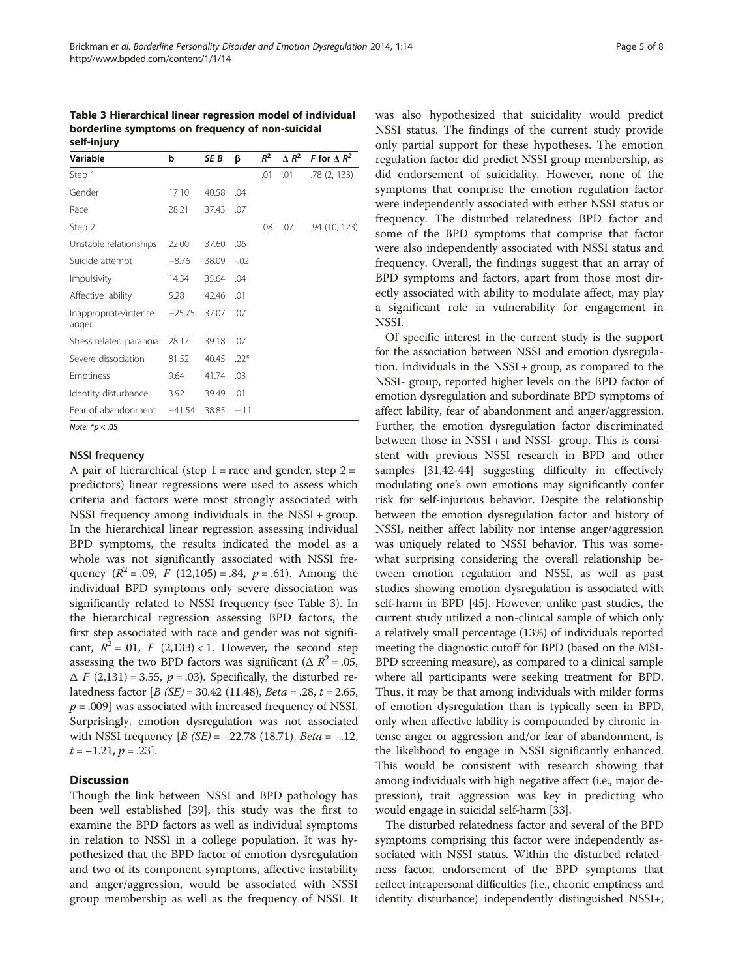| Variable                       | b        | SE B  | β       | $R^2$ | $\Lambda R^2$ | F for $\Lambda$ $R^2$ |
|--------------------------------|----------|-------|---------|-------|---------------|-----------------------|
| Step 1                         |          |       |         | .01   | .01           | .78 (2, 133)          |
| Gender                         | 17.10    | 40.58 | .04     |       |               |                       |
| Race                           | 28.21    | 37.43 | .07     |       |               |                       |
| Step 2                         |          |       |         | .08   | .07           | .94 (10, 123)         |
| Unstable relationships         | 22.00    | 37.60 | .06     |       |               |                       |
| Suicide attempt                | $-8.76$  | 38.09 | $-0.02$ |       |               |                       |
| Impulsivity                    | 14.34    | 35.64 | .04     |       |               |                       |
| Affective lability             | 5.28     | 42.46 | .01     |       |               |                       |
| Inappropriate/intense<br>anger | $-25.75$ | 37.07 | .07     |       |               |                       |
| Stress related paranoia        | 28.17    | 39.18 | .07     |       |               |                       |
| Severe dissociation            | 81.52    | 40.45 | $.22*$  |       |               |                       |
| Emptiness                      | 9.64     | 41.74 | .03     |       |               |                       |
| Identity disturbance           | 3.92     | 39.49 | .01     |       |               |                       |
| Fear of abandonment            | $-41.54$ | 38.85 | $-.11$  |       |               |                       |

Note: \*p < .05

#### NSSI frequency

A pair of hierarchical (step  $1 =$  race and gender, step  $2 =$ predictors) linear regressions were used to assess which criteria and factors were most strongly associated with NSSI frequency among individuals in the NSSI + group. In the hierarchical linear regression assessing individual BPD symptoms, the results indicated the model as a whole was not significantly associated with NSSI frequency  $(R^2 = .09, F (12,105) = .84, p = .61)$ . Among the individual BPD symptoms only severe dissociation was significantly related to NSSI frequency (see Table 3). In the hierarchical regression assessing BPD factors, the first step associated with race and gender was not significant,  $R^2 = .01$ ,  $F(2,133) < 1$ . However, the second step assessing the two BPD factors was significant ( $\Delta R^2$  = .05,  $\Delta F$  (2,131) = 3.55, p = .03). Specifically, the disturbed relatedness factor  $[B (SE) = 30.42 (11.48), Beta = .28, t = 2.65,$  $p = .009$ ] was associated with increased frequency of NSSI, Surprisingly, emotion dysregulation was not associated with NSSI frequency  $[B (SE) = -22.78 (18.71), Beta = -.12,$  $t = -1.21, p = .23$ .

#### **Discussion**

Though the link between NSSI and BPD pathology has been well established [[39](#page-6-0)], this study was the first to examine the BPD factors as well as individual symptoms in relation to NSSI in a college population. It was hypothesized that the BPD factor of emotion dysregulation and two of its component symptoms, affective instability and anger/aggression, would be associated with NSSI group membership as well as the frequency of NSSI. It was also hypothesized that suicidality would predict NSSI status. The findings of the current study provide only partial support for these hypotheses. The emotion regulation factor did predict NSSI group membership, as did endorsement of suicidality. However, none of the symptoms that comprise the emotion regulation factor were independently associated with either NSSI status or frequency. The disturbed relatedness BPD factor and some of the BPD symptoms that comprise that factor were also independently associated with NSSI status and frequency. Overall, the findings suggest that an array of BPD symptoms and factors, apart from those most directly associated with ability to modulate affect, may play a significant role in vulnerability for engagement in NSSI.

Of specific interest in the current study is the support for the association between NSSI and emotion dysregulation. Individuals in the NSSI + group, as compared to the NSSI- group, reported higher levels on the BPD factor of emotion dysregulation and subordinate BPD symptoms of affect lability, fear of abandonment and anger/aggression. Further, the emotion dysregulation factor discriminated between those in NSSI + and NSSI- group. This is consistent with previous NSSI research in BPD and other samples [\[31,42](#page-6-0)-[44](#page-6-0)] suggesting difficulty in effectively modulating one's own emotions may significantly confer risk for self-injurious behavior. Despite the relationship between the emotion dysregulation factor and history of NSSI, neither affect lability nor intense anger/aggression was uniquely related to NSSI behavior. This was somewhat surprising considering the overall relationship between emotion regulation and NSSI, as well as past studies showing emotion dysregulation is associated with self-harm in BPD [\[45](#page-6-0)]. However, unlike past studies, the current study utilized a non-clinical sample of which only a relatively small percentage (13%) of individuals reported meeting the diagnostic cutoff for BPD (based on the MSI-BPD screening measure), as compared to a clinical sample where all participants were seeking treatment for BPD. Thus, it may be that among individuals with milder forms of emotion dysregulation than is typically seen in BPD, only when affective lability is compounded by chronic intense anger or aggression and/or fear of abandonment, is the likelihood to engage in NSSI significantly enhanced. This would be consistent with research showing that among individuals with high negative affect (i.e., major depression), trait aggression was key in predicting who would engage in suicidal self-harm [[33\]](#page-6-0).

The disturbed relatedness factor and several of the BPD symptoms comprising this factor were independently associated with NSSI status. Within the disturbed relatedness factor, endorsement of the BPD symptoms that reflect intrapersonal difficulties (i.e., chronic emptiness and identity disturbance) independently distinguished NSSI+;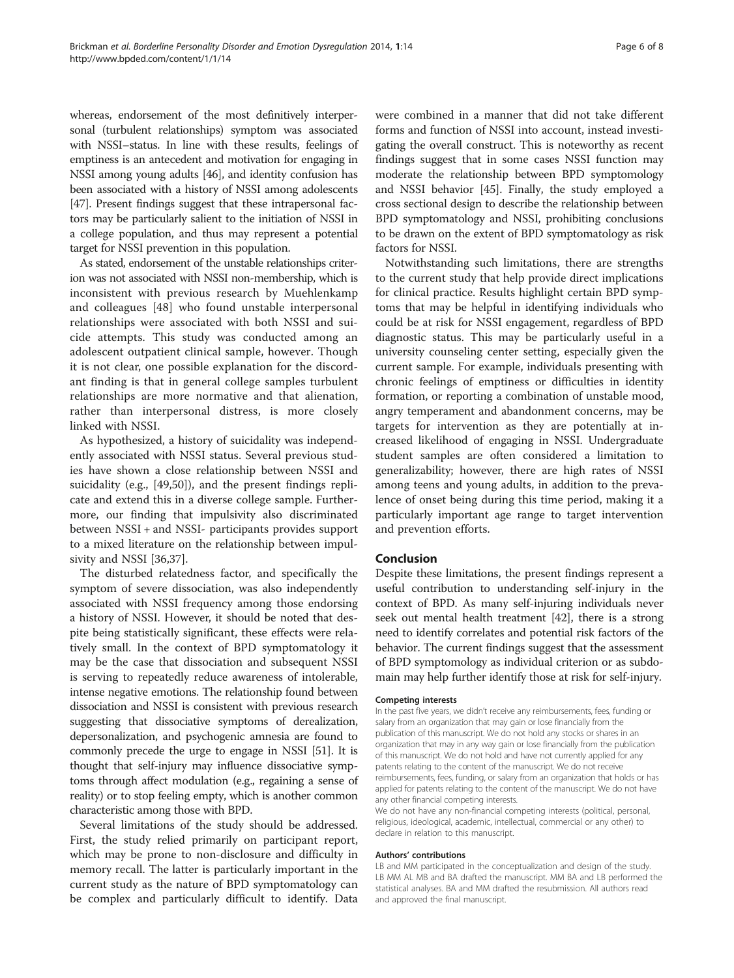whereas, endorsement of the most definitively interpersonal (turbulent relationships) symptom was associated with NSSI–status. In line with these results, feelings of emptiness is an antecedent and motivation for engaging in NSSI among young adults [\[46\]](#page-7-0), and identity confusion has been associated with a history of NSSI among adolescents [[47](#page-7-0)]. Present findings suggest that these intrapersonal factors may be particularly salient to the initiation of NSSI in a college population, and thus may represent a potential target for NSSI prevention in this population.

As stated, endorsement of the unstable relationships criterion was not associated with NSSI non-membership, which is inconsistent with previous research by Muehlenkamp and colleagues [[48](#page-7-0)] who found unstable interpersonal relationships were associated with both NSSI and suicide attempts. This study was conducted among an adolescent outpatient clinical sample, however. Though it is not clear, one possible explanation for the discordant finding is that in general college samples turbulent relationships are more normative and that alienation, rather than interpersonal distress, is more closely linked with NSSI.

As hypothesized, a history of suicidality was independently associated with NSSI status. Several previous studies have shown a close relationship between NSSI and suicidality (e.g., [[49](#page-7-0),[50](#page-7-0)]), and the present findings replicate and extend this in a diverse college sample. Furthermore, our finding that impulsivity also discriminated between NSSI + and NSSI- participants provides support to a mixed literature on the relationship between impulsivity and NSSI [[36,37](#page-6-0)].

The disturbed relatedness factor, and specifically the symptom of severe dissociation, was also independently associated with NSSI frequency among those endorsing a history of NSSI. However, it should be noted that despite being statistically significant, these effects were relatively small. In the context of BPD symptomatology it may be the case that dissociation and subsequent NSSI is serving to repeatedly reduce awareness of intolerable, intense negative emotions. The relationship found between dissociation and NSSI is consistent with previous research suggesting that dissociative symptoms of derealization, depersonalization, and psychogenic amnesia are found to commonly precede the urge to engage in NSSI [\[51\]](#page-7-0). It is thought that self-injury may influence dissociative symptoms through affect modulation (e.g., regaining a sense of reality) or to stop feeling empty, which is another common characteristic among those with BPD.

Several limitations of the study should be addressed. First, the study relied primarily on participant report, which may be prone to non-disclosure and difficulty in memory recall. The latter is particularly important in the current study as the nature of BPD symptomatology can be complex and particularly difficult to identify. Data were combined in a manner that did not take different forms and function of NSSI into account, instead investigating the overall construct. This is noteworthy as recent findings suggest that in some cases NSSI function may moderate the relationship between BPD symptomology and NSSI behavior [[45](#page-6-0)]. Finally, the study employed a cross sectional design to describe the relationship between BPD symptomatology and NSSI, prohibiting conclusions to be drawn on the extent of BPD symptomatology as risk factors for NSSI.

Notwithstanding such limitations, there are strengths to the current study that help provide direct implications for clinical practice. Results highlight certain BPD symptoms that may be helpful in identifying individuals who could be at risk for NSSI engagement, regardless of BPD diagnostic status. This may be particularly useful in a university counseling center setting, especially given the current sample. For example, individuals presenting with chronic feelings of emptiness or difficulties in identity formation, or reporting a combination of unstable mood, angry temperament and abandonment concerns, may be targets for intervention as they are potentially at increased likelihood of engaging in NSSI. Undergraduate student samples are often considered a limitation to generalizability; however, there are high rates of NSSI among teens and young adults, in addition to the prevalence of onset being during this time period, making it a particularly important age range to target intervention and prevention efforts.

#### Conclusion

Despite these limitations, the present findings represent a useful contribution to understanding self-injury in the context of BPD. As many self-injuring individuals never seek out mental health treatment [[42](#page-6-0)], there is a strong need to identify correlates and potential risk factors of the behavior. The current findings suggest that the assessment of BPD symptomology as individual criterion or as subdomain may help further identify those at risk for self-injury.

#### Competing interests

In the past five years, we didn't receive any reimbursements, fees, funding or salary from an organization that may gain or lose financially from the publication of this manuscript. We do not hold any stocks or shares in an organization that may in any way gain or lose financially from the publication of this manuscript. We do not hold and have not currently applied for any patents relating to the content of the manuscript. We do not receive reimbursements, fees, funding, or salary from an organization that holds or has applied for patents relating to the content of the manuscript. We do not have any other financial competing interests.

We do not have any non-financial competing interests (political, personal, religious, ideological, academic, intellectual, commercial or any other) to declare in relation to this manuscript.

#### Authors' contributions

LB and MM participated in the conceptualization and design of the study. LB MM AL MB and BA drafted the manuscript. MM BA and LB performed the statistical analyses. BA and MM drafted the resubmission. All authors read and approved the final manuscript.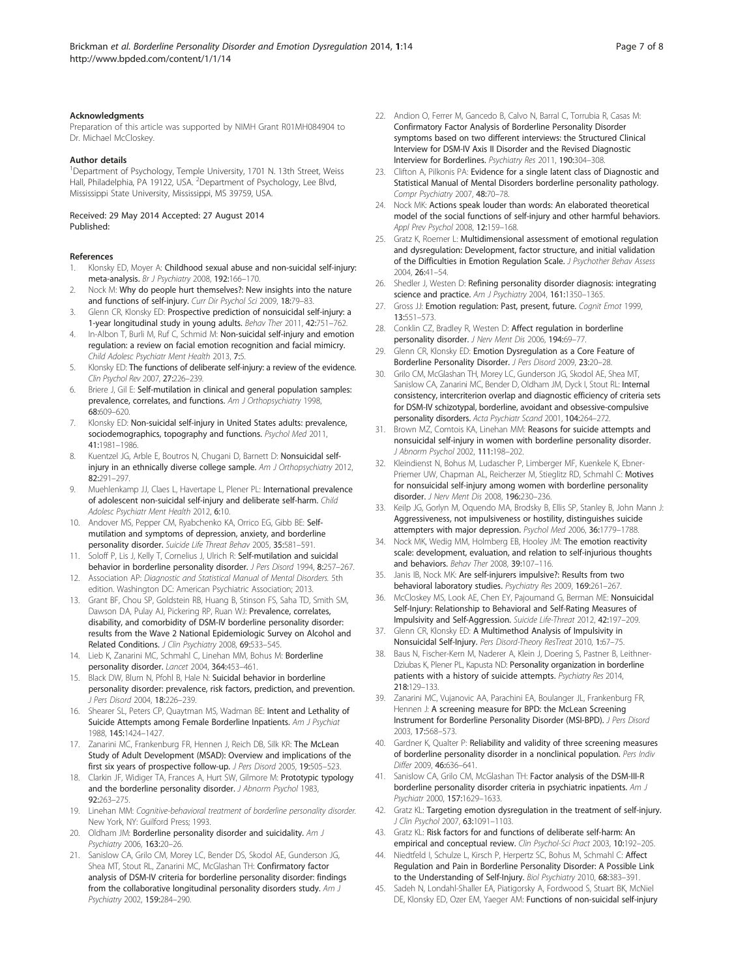#### <span id="page-6-0"></span>Acknowledgments

Preparation of this article was supported by NIMH Grant R01MH084904 to Dr. Michael McCloskey.

#### Author details

<sup>1</sup>Department of Psychology, Temple University, 1701 N. 13th Street, Weiss Hall, Philadelphia, PA 19122, USA. <sup>2</sup>Department of Psychology, Lee Blvd, Mississippi State University, Mississippi, MS 39759, USA.

#### Received: 29 May 2014 Accepted: 27 August 2014 Published:

#### References

- 1. Klonsky ED, Moyer A: Childhood sexual abuse and non-suicidal self-injury: meta-analysis. Br J Psychiatry 2008, 192:166–170.
- 2. Nock M: Why do people hurt themselves?: New insights into the nature and functions of self-injury. Curr Dir Psychol Sci 2009, 18:79-83.
- 3. Glenn CR, Klonsky ED: Prospective prediction of nonsuicidal self-injury: a 1-year longitudinal study in young adults. Behav Ther 2011, 42:751–762.
- 4. In-Albon T, Burli M, Ruf C, Schmid M: Non-suicidal self-injury and emotion regulation: a review on facial emotion recognition and facial mimicry. Child Adolesc Psychiatr Ment Health 2013, 7:5.
- 5. Klonsky ED: The functions of deliberate self-injury: a review of the evidence. Clin Psychol Rev 2007, 27:226–239.
- 6. Briere J, Gil E: Self-mutilation in clinical and general population samples: prevalence, correlates, and functions. Am J Orthopsychiatry 1998, 68:609–620.
- 7. Klonsky ED: Non-suicidal self-injury in United States adults: prevalence, sociodemographics, topography and functions. Psychol Med 2011, 41:1981–1986.
- Kuentzel JG, Arble E, Boutros N, Chugani D, Barnett D: Nonsuicidal selfinjury in an ethnically diverse college sample. Am J Orthopsychiatry 2012, 82:291–297.
- Muehlenkamp JJ, Claes L, Havertape L, Plener PL: International prevalence of adolescent non-suicidal self-injury and deliberate self-harm. Child Adolesc Psychiatr Ment Health 2012, 6:10.
- 10. Andover MS, Pepper CM, Ryabchenko KA, Orrico EG, Gibb BE: Selfmutilation and symptoms of depression, anxiety, and borderline personality disorder. Suicide Life Threat Behav 2005, 35:581–591.
- 11. Soloff P, Lis J, Kelly T, Cornelius J, Ulrich R: Self-mutilation and suicidal behavior in borderline personality disorder. J Pers Disord 1994, 8:257–267.
- 12. Association AP: Diagnostic and Statistical Manual of Mental Disorders. 5th edition. Washington DC: American Psychiatric Association; 2013.
- 13. Grant BF, Chou SP, Goldstein RB, Huang B, Stinson FS, Saha TD, Smith SM, Dawson DA, Pulay AJ, Pickering RP, Ruan WJ: Prevalence, correlates, disability, and comorbidity of DSM-IV borderline personality disorder: results from the Wave 2 National Epidemiologic Survey on Alcohol and Related Conditions. J Clin Psychiatry 2008, 69:533-545.
- 14. Lieb K, Zanarini MC, Schmahl C, Linehan MM, Bohus M: Borderline personality disorder. Lancet 2004, 364:453–461.
- 15. Black DW, Blum N, Pfohl B, Hale N: Suicidal behavior in borderline personality disorder: prevalence, risk factors, prediction, and prevention. J Pers Disord 2004, 18:226–239.
- 16. Shearer SL, Peters CP, Quaytman MS, Wadman BE: Intent and Lethality of Suicide Attempts among Female Borderline Inpatients. Am J Psychiat 1988, 145:1424–1427.
- 17. Zanarini MC, Frankenburg FR, Hennen J, Reich DB, Silk KR: The McLean Study of Adult Development (MSAD): Overview and implications of the first six years of prospective follow-up. J Pers Disord 2005, 19:505–523.
- 18. Clarkin JF, Widiger TA, Frances A, Hurt SW, Gilmore M: Prototypic typology and the borderline personality disorder. J Abnorm Psychol 1983, 92:263–275.
- 19. Linehan MM: Cognitive-behavioral treatment of borderline personality disorder. New York, NY: Guilford Press; 1993.
- 20. Oldham JM: Borderline personality disorder and suicidality. Am J Psychiatry 2006, 163:20–26.
- 21. Sanislow CA, Grilo CM, Morey LC, Bender DS, Skodol AE, Gunderson JG, Shea MT, Stout RL, Zanarini MC, McGlashan TH: Confirmatory factor analysis of DSM-IV criteria for borderline personality disorder: findings from the collaborative longitudinal personality disorders study. Am J Psychiatry 2002, 159:284–290.
- 22. Andion O, Ferrer M, Gancedo B, Calvo N, Barral C, Torrubia R, Casas M: Confirmatory Factor Analysis of Borderline Personality Disorder symptoms based on two different interviews: the Structured Clinical Interview for DSM-IV Axis II Disorder and the Revised Diagnostic Interview for Borderlines. Psychiatry Res 2011, 190:304–308.
- 23. Clifton A, Pilkonis PA: Evidence for a single latent class of Diagnostic and Statistical Manual of Mental Disorders borderline personality pathology. Compr Psychiatry 2007, 48:70–78.
- 24. Nock MK: Actions speak louder than words: An elaborated theoretical model of the social functions of self-injury and other harmful behaviors. Appl Prev Psychol 2008, 12:159–168.
- 25. Gratz K, Roemer L: Multidimensional assessment of emotional regulation and dysregulation: Development, factor structure, and initial validation of the Difficulties in Emotion Regulation Scale. J Psychother Behav Assess 2004, 26:41–54.
- 26. Shedler J, Westen D: Refining personality disorder diagnosis: integrating science and practice. Am J Psychiatry 2004, 161:1350-1365.
- Gross JJ: Emotion regulation: Past, present, future. Cognit Emot 1999, 13:551–573.
- 28. Conklin CZ, Bradley R, Westen D: Affect regulation in borderline personality disorder. J Nerv Ment Dis 2006, 194:69–77.
- 29. Glenn CR, Klonsky ED: Emotion Dysregulation as a Core Feature of Borderline Personality Disorder. J Pers Disord 2009, 23:20–28.
- 30. Grilo CM, McGlashan TH, Morey LC, Gunderson JG, Skodol AE, Shea MT, Sanislow CA, Zanarini MC, Bender D, Oldham JM, Dyck I, Stout RL: Internal consistency, intercriterion overlap and diagnostic efficiency of criteria sets for DSM-IV schizotypal, borderline, avoidant and obsessive-compulsive personality disorders. Acta Psychiatr Scand 2001, 104:264–272.
- 31. Brown MZ, Comtois KA, Linehan MM: Reasons for suicide attempts and nonsuicidal self-injury in women with borderline personality disorder. J Abnorm Psychol 2002, 111:198–202.
- 32. Kleindienst N, Bohus M, Ludascher P, Limberger MF, Kuenkele K, Ebner-Priemer UW, Chapman AL, Reicherzer M, Stieglitz RD, Schmahl C: Motives for nonsuicidal self-injury among women with borderline personality disorder. J Nerv Ment Dis 2008, 196:230–236.
- 33. Keilp JG, Gorlyn M, Oquendo MA, Brodsky B, Ellis SP, Stanley B, John Mann J: Aggressiveness, not impulsiveness or hostility, distinguishes suicide attempters with major depression. Psychol Med 2006, 36:1779–1788.
- 34. Nock MK, Wedig MM, Holmberg EB, Hooley JM: The emotion reactivity scale: development, evaluation, and relation to self-injurious thoughts and behaviors. Behav Ther 2008, 39:107-116.
- 35. Janis IB, Nock MK: Are self-injurers impulsive?: Results from two behavioral laboratory studies. Psychiatry Res 2009, 169:261-267
- 36. McCloskey MS, Look AE, Chen EY, Pajoumand G, Berman ME: Nonsuicidal Self-Injury: Relationship to Behavioral and Self-Rating Measures of Impulsivity and Self-Aggression. Suicide Life-Threat 2012, 42:197–209.
- 37. Glenn CR, Klonsky ED: A Multimethod Analysis of Impulsivity in Nonsuicidal Self-Injury. Pers Disord-Theory ResTreat 2010, 1:67–75.
- 38. Baus N, Fischer-Kern M, Naderer A, Klein J, Doering S, Pastner B, Leithner-Dziubas K, Plener PL, Kapusta ND: Personality organization in borderline patients with a history of suicide attempts. Psychiatry Res 2014, 218:129–133.
- 39. Zanarini MC, Vujanovic AA, Parachini EA, Boulanger JL, Frankenburg FR, Hennen J: A screening measure for BPD: the McLean Screening Instrument for Borderline Personality Disorder (MSI-BPD). J Pers Disord 2003, 17:568–573.
- 40. Gardner K, Qualter P: Reliability and validity of three screening measures of borderline personality disorder in a nonclinical population. Pers Indiv Differ 2009, 46:636–641.
- 41. Sanislow CA, Grilo CM, McGlashan TH: Factor analysis of the DSM-III-R borderline personality disorder criteria in psychiatric inpatients. Am J Psychiatr 2000, 157:1629–1633.
- 42. Gratz KL: Targeting emotion dysregulation in the treatment of self-injury. J Clin Psychol 2007, 63:1091-1103.
- 43. Gratz KL: Risk factors for and functions of deliberate self-harm: An empirical and conceptual review. Clin Psychol-Sci Pract 2003, 10:192-205.
- 44. Niedtfeld I, Schulze L, Kirsch P, Herpertz SC, Bohus M, Schmahl C: Affect Regulation and Pain in Borderline Personality Disorder: A Possible Link to the Understanding of Self-Injury. Biol Psychiatry 2010, 68:383–391.
- 45. Sadeh N, Londahl-Shaller EA, Piatigorsky A, Fordwood S, Stuart BK, McNiel DE, Klonsky ED, Ozer EM, Yaeger AM: Functions of non-suicidal self-injury